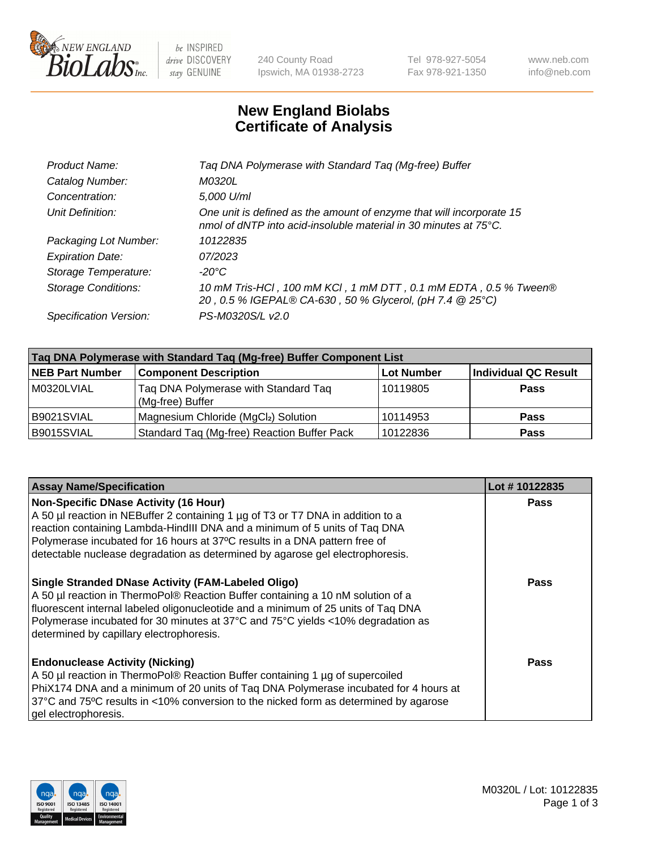

 $be$  INSPIRED drive DISCOVERY stay GENUINE

240 County Road Ipswich, MA 01938-2723 Tel 978-927-5054 Fax 978-921-1350 www.neb.com info@neb.com

## **New England Biolabs Certificate of Analysis**

| Taq DNA Polymerase with Standard Taq (Mg-free) Buffer                                                                                    |
|------------------------------------------------------------------------------------------------------------------------------------------|
| M0320L                                                                                                                                   |
| 5,000 U/ml                                                                                                                               |
| One unit is defined as the amount of enzyme that will incorporate 15<br>nmol of dNTP into acid-insoluble material in 30 minutes at 75°C. |
| 10122835                                                                                                                                 |
| 07/2023                                                                                                                                  |
| $-20^{\circ}$ C                                                                                                                          |
| 10 mM Tris-HCl, 100 mM KCl, 1 mM DTT, 0.1 mM EDTA, 0.5 % Tween®<br>20, 0.5 % IGEPAL® CA-630, 50 % Glycerol, (pH 7.4 @ 25°C)              |
| PS-M0320S/L v2.0                                                                                                                         |
|                                                                                                                                          |

| Taq DNA Polymerase with Standard Taq (Mg-free) Buffer Component List |                                                          |                   |                             |  |
|----------------------------------------------------------------------|----------------------------------------------------------|-------------------|-----------------------------|--|
| <b>NEB Part Number</b>                                               | <b>Component Description</b>                             | <b>Lot Number</b> | <b>Individual QC Result</b> |  |
| M0320LVIAL                                                           | Tag DNA Polymerase with Standard Tag<br>(Mg-free) Buffer | 10119805          | <b>Pass</b>                 |  |
| B9021SVIAL                                                           | Magnesium Chloride (MgCl2) Solution                      | 10114953          | <b>Pass</b>                 |  |
| B9015SVIAL                                                           | Standard Taq (Mg-free) Reaction Buffer Pack              | 10122836          | <b>Pass</b>                 |  |

| <b>Assay Name/Specification</b>                                                                                                                                                                                                                                                                                                                                              | Lot #10122835 |
|------------------------------------------------------------------------------------------------------------------------------------------------------------------------------------------------------------------------------------------------------------------------------------------------------------------------------------------------------------------------------|---------------|
| <b>Non-Specific DNase Activity (16 Hour)</b><br>A 50 µl reaction in NEBuffer 2 containing 1 µg of T3 or T7 DNA in addition to a<br>reaction containing Lambda-HindIII DNA and a minimum of 5 units of Taq DNA<br>Polymerase incubated for 16 hours at 37°C results in a DNA pattern free of<br>detectable nuclease degradation as determined by agarose gel electrophoresis. | <b>Pass</b>   |
| <b>Single Stranded DNase Activity (FAM-Labeled Oligo)</b><br>A 50 µl reaction in ThermoPol® Reaction Buffer containing a 10 nM solution of a<br>fluorescent internal labeled oligonucleotide and a minimum of 25 units of Taq DNA<br>Polymerase incubated for 30 minutes at 37°C and 75°C yields <10% degradation as<br>determined by capillary electrophoresis.             | <b>Pass</b>   |
| <b>Endonuclease Activity (Nicking)</b><br>A 50 µl reaction in ThermoPol® Reaction Buffer containing 1 µg of supercoiled<br>PhiX174 DNA and a minimum of 20 units of Taq DNA Polymerase incubated for 4 hours at<br>37°C and 75°C results in <10% conversion to the nicked form as determined by agarose<br>gel electrophoresis.                                              | Pass          |

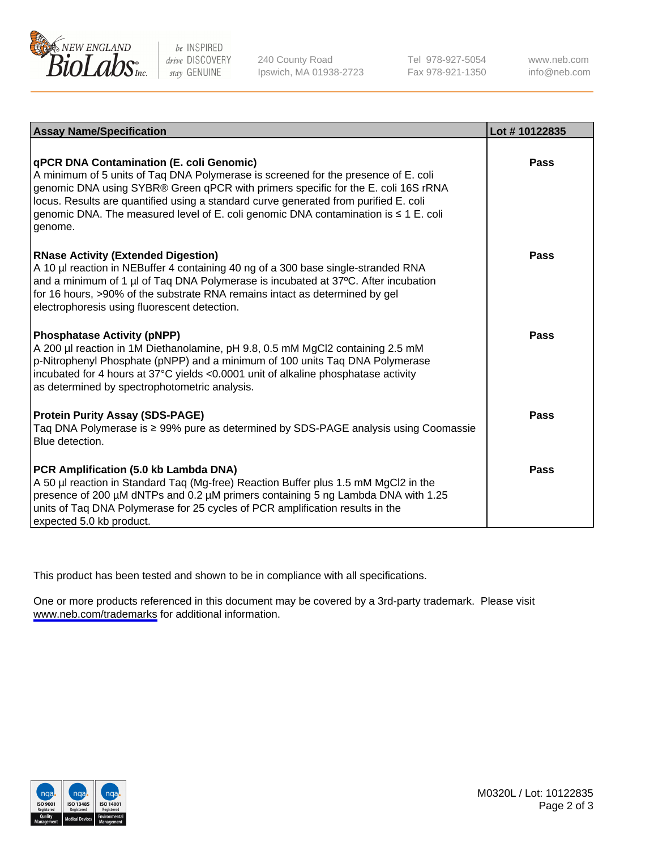

be INSPIRED drive DISCOVERY stay GENUINE

240 County Road Ipswich, MA 01938-2723 Tel 978-927-5054 Fax 978-921-1350

www.neb.com info@neb.com

| <b>Assay Name/Specification</b>                                                                                                                                                                                                                                                                                                                                                                               | Lot #10122835 |
|---------------------------------------------------------------------------------------------------------------------------------------------------------------------------------------------------------------------------------------------------------------------------------------------------------------------------------------------------------------------------------------------------------------|---------------|
| qPCR DNA Contamination (E. coli Genomic)<br>A minimum of 5 units of Taq DNA Polymerase is screened for the presence of E. coli<br>genomic DNA using SYBR® Green qPCR with primers specific for the E. coli 16S rRNA<br>locus. Results are quantified using a standard curve generated from purified E. coli<br>genomic DNA. The measured level of E. coli genomic DNA contamination is ≤ 1 E. coli<br>genome. | Pass          |
| <b>RNase Activity (Extended Digestion)</b><br>A 10 µl reaction in NEBuffer 4 containing 40 ng of a 300 base single-stranded RNA<br>and a minimum of 1 µl of Taq DNA Polymerase is incubated at 37°C. After incubation<br>for 16 hours, >90% of the substrate RNA remains intact as determined by gel<br>electrophoresis using fluorescent detection.                                                          | Pass          |
| <b>Phosphatase Activity (pNPP)</b><br>A 200 µl reaction in 1M Diethanolamine, pH 9.8, 0.5 mM MgCl2 containing 2.5 mM<br>p-Nitrophenyl Phosphate (pNPP) and a minimum of 100 units Taq DNA Polymerase<br>incubated for 4 hours at 37°C yields <0.0001 unit of alkaline phosphatase activity<br>as determined by spectrophotometric analysis.                                                                   | Pass          |
| <b>Protein Purity Assay (SDS-PAGE)</b><br>Taq DNA Polymerase is ≥ 99% pure as determined by SDS-PAGE analysis using Coomassie<br>Blue detection.                                                                                                                                                                                                                                                              | Pass          |
| PCR Amplification (5.0 kb Lambda DNA)<br>A 50 µl reaction in Standard Taq (Mg-free) Reaction Buffer plus 1.5 mM MgCl2 in the<br>presence of 200 µM dNTPs and 0.2 µM primers containing 5 ng Lambda DNA with 1.25<br>units of Tag DNA Polymerase for 25 cycles of PCR amplification results in the<br>expected 5.0 kb product.                                                                                 | Pass          |

This product has been tested and shown to be in compliance with all specifications.

One or more products referenced in this document may be covered by a 3rd-party trademark. Please visit <www.neb.com/trademarks>for additional information.